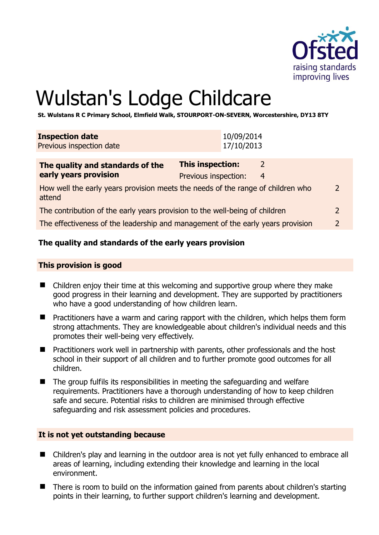

# Wulstan's Lodge Childcare

**St. Wulstans R C Primary School, Elmfield Walk, STOURPORT-ON-SEVERN, Worcestershire, DY13 8TY** 

| <b>Inspection date</b><br>Previous inspection date                                                         | 10/09/2014<br>17/10/2013                                       |  |
|------------------------------------------------------------------------------------------------------------|----------------------------------------------------------------|--|
| The quality and standards of the<br>early years provision                                                  | This inspection:<br>$\mathcal{L}$<br>Previous inspection:<br>4 |  |
| How well the early years provision meets the needs of the range of children who<br>$\mathcal{P}$<br>attend |                                                                |  |
| The contribution of the early years provision to the well-being of children<br>2                           |                                                                |  |
| The effectiveness of the leadership and management of the early years provision<br>2                       |                                                                |  |

# **The quality and standards of the early years provision**

#### **This provision is good**

- Children enjoy their time at this welcoming and supportive group where they make good progress in their learning and development. They are supported by practitioners who have a good understanding of how children learn.
- **Practitioners have a warm and caring rapport with the children, which helps them form** strong attachments. They are knowledgeable about children's individual needs and this promotes their well-being very effectively.
- $\blacksquare$  Practitioners work well in partnership with parents, other professionals and the host school in their support of all children and to further promote good outcomes for all children.
- $\blacksquare$  The group fulfils its responsibilities in meeting the safeguarding and welfare requirements. Practitioners have a thorough understanding of how to keep children safe and secure. Potential risks to children are minimised through effective safeguarding and risk assessment policies and procedures.

#### **It is not yet outstanding because**

- Children's play and learning in the outdoor area is not yet fully enhanced to embrace all areas of learning, including extending their knowledge and learning in the local environment.
- There is room to build on the information gained from parents about children's starting points in their learning, to further support children's learning and development.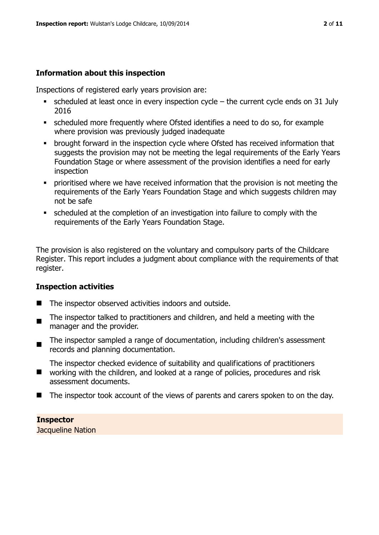#### **Information about this inspection**

Inspections of registered early years provision are:

- $\bullet$  scheduled at least once in every inspection cycle the current cycle ends on 31 July 2016
- scheduled more frequently where Ofsted identifies a need to do so, for example where provision was previously judged inadequate
- **•** brought forward in the inspection cycle where Ofsted has received information that suggests the provision may not be meeting the legal requirements of the Early Years Foundation Stage or where assessment of the provision identifies a need for early inspection
- **•** prioritised where we have received information that the provision is not meeting the requirements of the Early Years Foundation Stage and which suggests children may not be safe
- scheduled at the completion of an investigation into failure to comply with the requirements of the Early Years Foundation Stage.

The provision is also registered on the voluntary and compulsory parts of the Childcare Register. This report includes a judgment about compliance with the requirements of that register.

#### **Inspection activities**

- The inspector observed activities indoors and outside.
- $\blacksquare$ The inspector talked to practitioners and children, and held a meeting with the manager and the provider.
- $\blacksquare$ The inspector sampled a range of documentation, including children's assessment records and planning documentation.

The inspector checked evidence of suitability and qualifications of practitioners

- $\blacksquare$ working with the children, and looked at a range of policies, procedures and risk assessment documents.
- The inspector took account of the views of parents and carers spoken to on the day.

#### **Inspector**  Jacqueline Nation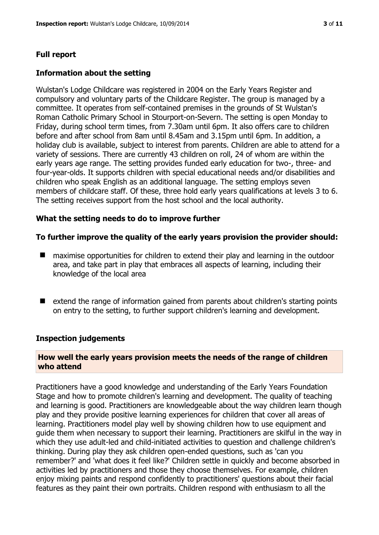# **Full report**

### **Information about the setting**

Wulstan's Lodge Childcare was registered in 2004 on the Early Years Register and compulsory and voluntary parts of the Childcare Register. The group is managed by a committee. It operates from self-contained premises in the grounds of St Wulstan's Roman Catholic Primary School in Stourport-on-Severn. The setting is open Monday to Friday, during school term times, from 7.30am until 6pm. It also offers care to children before and after school from 8am until 8.45am and 3.15pm until 6pm. In addition, a holiday club is available, subject to interest from parents. Children are able to attend for a variety of sessions. There are currently 43 children on roll, 24 of whom are within the early years age range. The setting provides funded early education for two-, three- and four-year-olds. It supports children with special educational needs and/or disabilities and children who speak English as an additional language. The setting employs seven members of childcare staff. Of these, three hold early years qualifications at levels 3 to 6. The setting receives support from the host school and the local authority.

#### **What the setting needs to do to improve further**

#### **To further improve the quality of the early years provision the provider should:**

- maximise opportunities for children to extend their play and learning in the outdoor area, and take part in play that embraces all aspects of learning, including their knowledge of the local area
- extend the range of information gained from parents about children's starting points on entry to the setting, to further support children's learning and development.

#### **Inspection judgements**

#### **How well the early years provision meets the needs of the range of children who attend**

Practitioners have a good knowledge and understanding of the Early Years Foundation Stage and how to promote children's learning and development. The quality of teaching and learning is good. Practitioners are knowledgeable about the way children learn though play and they provide positive learning experiences for children that cover all areas of learning. Practitioners model play well by showing children how to use equipment and guide them when necessary to support their learning. Practitioners are skilful in the way in which they use adult-led and child-initiated activities to question and challenge children's thinking. During play they ask children open-ended questions, such as 'can you remember?' and 'what does it feel like?' Children settle in quickly and become absorbed in activities led by practitioners and those they choose themselves. For example, children enjoy mixing paints and respond confidently to practitioners' questions about their facial features as they paint their own portraits. Children respond with enthusiasm to all the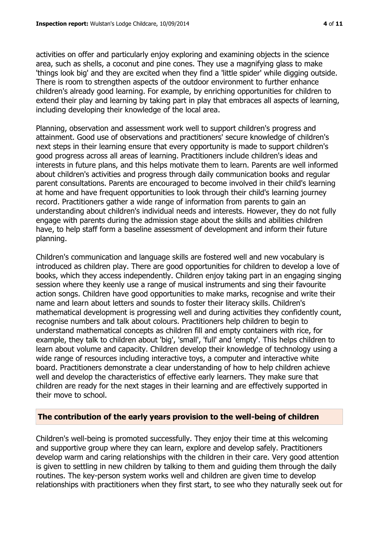activities on offer and particularly enjoy exploring and examining objects in the science area, such as shells, a coconut and pine cones. They use a magnifying glass to make 'things look big' and they are excited when they find a 'little spider' while digging outside. There is room to strengthen aspects of the outdoor environment to further enhance children's already good learning. For example, by enriching opportunities for children to extend their play and learning by taking part in play that embraces all aspects of learning, including developing their knowledge of the local area.

Planning, observation and assessment work well to support children's progress and attainment. Good use of observations and practitioners' secure knowledge of children's next steps in their learning ensure that every opportunity is made to support children's good progress across all areas of learning. Practitioners include children's ideas and interests in future plans, and this helps motivate them to learn. Parents are well informed about children's activities and progress through daily communication books and regular parent consultations. Parents are encouraged to become involved in their child's learning at home and have frequent opportunities to look through their child's learning journey record. Practitioners gather a wide range of information from parents to gain an understanding about children's individual needs and interests. However, they do not fully engage with parents during the admission stage about the skills and abilities children have, to help staff form a baseline assessment of development and inform their future planning.

Children's communication and language skills are fostered well and new vocabulary is introduced as children play. There are good opportunities for children to develop a love of books, which they access independently. Children enjoy taking part in an engaging singing session where they keenly use a range of musical instruments and sing their favourite action songs. Children have good opportunities to make marks, recognise and write their name and learn about letters and sounds to foster their literacy skills. Children's mathematical development is progressing well and during activities they confidently count, recognise numbers and talk about colours. Practitioners help children to begin to understand mathematical concepts as children fill and empty containers with rice, for example, they talk to children about 'big', 'small', 'full' and 'empty'. This helps children to learn about volume and capacity. Children develop their knowledge of technology using a wide range of resources including interactive toys, a computer and interactive white board. Practitioners demonstrate a clear understanding of how to help children achieve well and develop the characteristics of effective early learners. They make sure that children are ready for the next stages in their learning and are effectively supported in their move to school.

#### **The contribution of the early years provision to the well-being of children**

Children's well-being is promoted successfully. They enjoy their time at this welcoming and supportive group where they can learn, explore and develop safely. Practitioners develop warm and caring relationships with the children in their care. Very good attention is given to settling in new children by talking to them and guiding them through the daily routines. The key-person system works well and children are given time to develop relationships with practitioners when they first start, to see who they naturally seek out for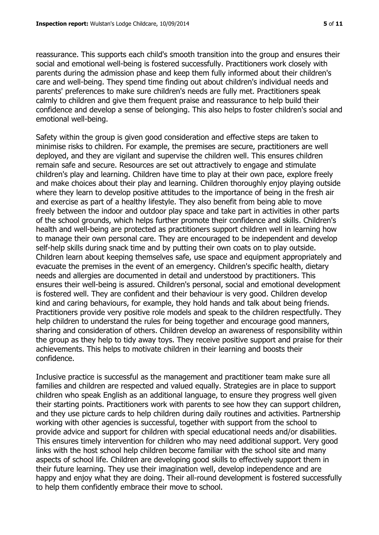reassurance. This supports each child's smooth transition into the group and ensures their social and emotional well-being is fostered successfully. Practitioners work closely with parents during the admission phase and keep them fully informed about their children's care and well-being. They spend time finding out about children's individual needs and parents' preferences to make sure children's needs are fully met. Practitioners speak calmly to children and give them frequent praise and reassurance to help build their confidence and develop a sense of belonging. This also helps to foster children's social and emotional well-being.

Safety within the group is given good consideration and effective steps are taken to minimise risks to children. For example, the premises are secure, practitioners are well deployed, and they are vigilant and supervise the children well. This ensures children remain safe and secure. Resources are set out attractively to engage and stimulate children's play and learning. Children have time to play at their own pace, explore freely and make choices about their play and learning. Children thoroughly enjoy playing outside where they learn to develop positive attitudes to the importance of being in the fresh air and exercise as part of a healthy lifestyle. They also benefit from being able to move freely between the indoor and outdoor play space and take part in activities in other parts of the school grounds, which helps further promote their confidence and skills. Children's health and well-being are protected as practitioners support children well in learning how to manage their own personal care. They are encouraged to be independent and develop self-help skills during snack time and by putting their own coats on to play outside. Children learn about keeping themselves safe, use space and equipment appropriately and evacuate the premises in the event of an emergency. Children's specific health, dietary needs and allergies are documented in detail and understood by practitioners. This ensures their well-being is assured. Children's personal, social and emotional development is fostered well. They are confident and their behaviour is very good. Children develop kind and caring behaviours, for example, they hold hands and talk about being friends. Practitioners provide very positive role models and speak to the children respectfully. They help children to understand the rules for being together and encourage good manners, sharing and consideration of others. Children develop an awareness of responsibility within the group as they help to tidy away toys. They receive positive support and praise for their achievements. This helps to motivate children in their learning and boosts their confidence.

Inclusive practice is successful as the management and practitioner team make sure all families and children are respected and valued equally. Strategies are in place to support children who speak English as an additional language, to ensure they progress well given their starting points. Practitioners work with parents to see how they can support children, and they use picture cards to help children during daily routines and activities. Partnership working with other agencies is successful, together with support from the school to provide advice and support for children with special educational needs and/or disabilities. This ensures timely intervention for children who may need additional support. Very good links with the host school help children become familiar with the school site and many aspects of school life. Children are developing good skills to effectively support them in their future learning. They use their imagination well, develop independence and are happy and enjoy what they are doing. Their all-round development is fostered successfully to help them confidently embrace their move to school.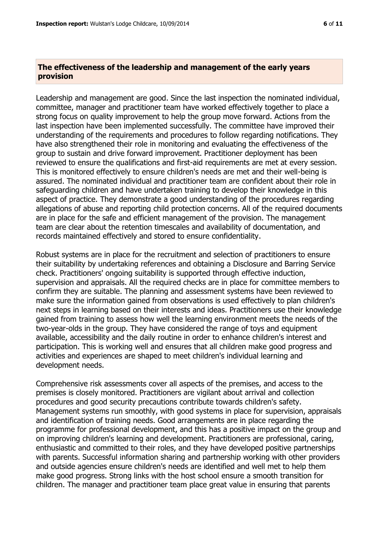#### **The effectiveness of the leadership and management of the early years provision**

Leadership and management are good. Since the last inspection the nominated individual, committee, manager and practitioner team have worked effectively together to place a strong focus on quality improvement to help the group move forward. Actions from the last inspection have been implemented successfully. The committee have improved their understanding of the requirements and procedures to follow regarding notifications. They have also strengthened their role in monitoring and evaluating the effectiveness of the group to sustain and drive forward improvement. Practitioner deployment has been reviewed to ensure the qualifications and first-aid requirements are met at every session. This is monitored effectively to ensure children's needs are met and their well-being is assured. The nominated individual and practitioner team are confident about their role in safeguarding children and have undertaken training to develop their knowledge in this aspect of practice. They demonstrate a good understanding of the procedures regarding allegations of abuse and reporting child protection concerns. All of the required documents are in place for the safe and efficient management of the provision. The management team are clear about the retention timescales and availability of documentation, and records maintained effectively and stored to ensure confidentiality.

Robust systems are in place for the recruitment and selection of practitioners to ensure their suitability by undertaking references and obtaining a Disclosure and Barring Service check. Practitioners' ongoing suitability is supported through effective induction, supervision and appraisals. All the required checks are in place for committee members to confirm they are suitable. The planning and assessment systems have been reviewed to make sure the information gained from observations is used effectively to plan children's next steps in learning based on their interests and ideas. Practitioners use their knowledge gained from training to assess how well the learning environment meets the needs of the two-year-olds in the group. They have considered the range of toys and equipment available, accessibility and the daily routine in order to enhance children's interest and participation. This is working well and ensures that all children make good progress and activities and experiences are shaped to meet children's individual learning and development needs.

Comprehensive risk assessments cover all aspects of the premises, and access to the premises is closely monitored. Practitioners are vigilant about arrival and collection procedures and good security precautions contribute towards children's safety. Management systems run smoothly, with good systems in place for supervision, appraisals and identification of training needs. Good arrangements are in place regarding the programme for professional development, and this has a positive impact on the group and on improving children's learning and development. Practitioners are professional, caring, enthusiastic and committed to their roles, and they have developed positive partnerships with parents. Successful information sharing and partnership working with other providers and outside agencies ensure children's needs are identified and well met to help them make good progress. Strong links with the host school ensure a smooth transition for children. The manager and practitioner team place great value in ensuring that parents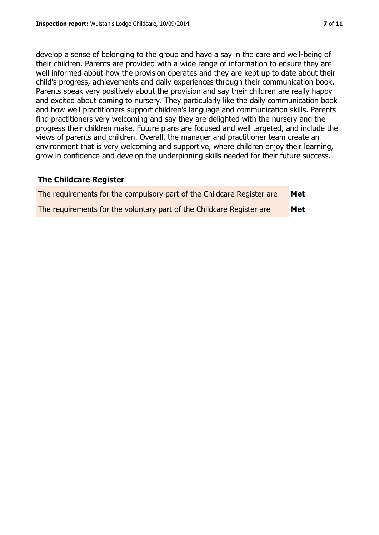develop a sense of belonging to the group and have a say in the care and well-being of their children. Parents are provided with a wide range of information to ensure they are well informed about how the provision operates and they are kept up to date about their child's progress, achievements and daily experiences through their communication book. Parents speak very positively about the provision and say their children are really happy and excited about coming to nursery. They particularly like the daily communication book and how well practitioners support children's language and communication skills. Parents find practitioners very welcoming and say they are delighted with the nursery and the progress their children make. Future plans are focused and well targeted, and include the views of parents and children. Overall, the manager and practitioner team create an environment that is very welcoming and supportive, where children enjoy their learning, grow in confidence and develop the underpinning skills needed for their future success.

#### **The Childcare Register**

| The requirements for the compulsory part of the Childcare Register are | <b>Met</b> |
|------------------------------------------------------------------------|------------|
| The requirements for the voluntary part of the Childcare Register are  | <b>Met</b> |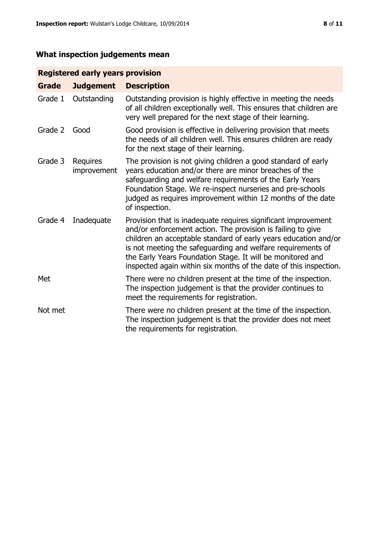# **What inspection judgements mean**

# **Registered early years provision**

| <b>Grade</b> | <b>Judgement</b>               | <b>Description</b>                                                                                                                                                                                                                                                                                                                                                                                |
|--------------|--------------------------------|---------------------------------------------------------------------------------------------------------------------------------------------------------------------------------------------------------------------------------------------------------------------------------------------------------------------------------------------------------------------------------------------------|
| Grade 1      | Outstanding                    | Outstanding provision is highly effective in meeting the needs<br>of all children exceptionally well. This ensures that children are<br>very well prepared for the next stage of their learning.                                                                                                                                                                                                  |
| Grade 2      | Good                           | Good provision is effective in delivering provision that meets<br>the needs of all children well. This ensures children are ready<br>for the next stage of their learning.                                                                                                                                                                                                                        |
| Grade 3      | <b>Requires</b><br>improvement | The provision is not giving children a good standard of early<br>years education and/or there are minor breaches of the<br>safeguarding and welfare requirements of the Early Years<br>Foundation Stage. We re-inspect nurseries and pre-schools<br>judged as requires improvement within 12 months of the date<br>of inspection.                                                                 |
| Grade 4      | Inadequate                     | Provision that is inadequate requires significant improvement<br>and/or enforcement action. The provision is failing to give<br>children an acceptable standard of early years education and/or<br>is not meeting the safeguarding and welfare requirements of<br>the Early Years Foundation Stage. It will be monitored and<br>inspected again within six months of the date of this inspection. |
| Met          |                                | There were no children present at the time of the inspection.<br>The inspection judgement is that the provider continues to<br>meet the requirements for registration.                                                                                                                                                                                                                            |
| Not met      |                                | There were no children present at the time of the inspection.<br>The inspection judgement is that the provider does not meet<br>the requirements for registration.                                                                                                                                                                                                                                |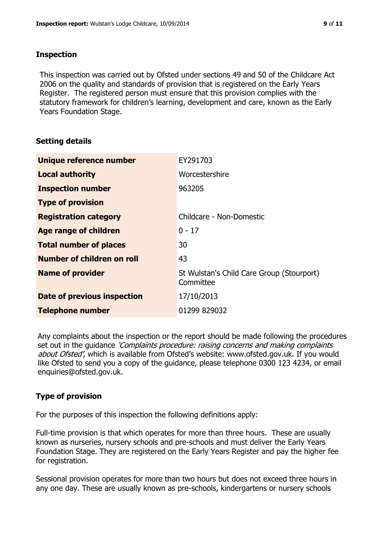#### **Inspection**

This inspection was carried out by Ofsted under sections 49 and 50 of the Childcare Act 2006 on the quality and standards of provision that is registered on the Early Years Register. The registered person must ensure that this provision complies with the statutory framework for children's learning, development and care, known as the Early Years Foundation Stage.

# **Setting details**

| Unique reference number       | EY291703                                               |
|-------------------------------|--------------------------------------------------------|
| <b>Local authority</b>        | Worcestershire                                         |
| <b>Inspection number</b>      | 963205                                                 |
| <b>Type of provision</b>      |                                                        |
| <b>Registration category</b>  | Childcare - Non-Domestic                               |
| Age range of children         | $0 - 17$                                               |
| <b>Total number of places</b> | 30                                                     |
| Number of children on roll    | 43                                                     |
| <b>Name of provider</b>       | St Wulstan's Child Care Group (Stourport)<br>Committee |
| Date of previous inspection   | 17/10/2013                                             |
| <b>Telephone number</b>       | 01299 829032                                           |

Any complaints about the inspection or the report should be made following the procedures set out in the quidance *'Complaints procedure: raising concerns and making complaints* about Ofsted', which is available from Ofsted's website: www.ofsted.gov.uk. If you would like Ofsted to send you a copy of the guidance, please telephone 0300 123 4234, or email enquiries@ofsted.gov.uk.

# **Type of provision**

For the purposes of this inspection the following definitions apply:

Full-time provision is that which operates for more than three hours. These are usually known as nurseries, nursery schools and pre-schools and must deliver the Early Years Foundation Stage. They are registered on the Early Years Register and pay the higher fee for registration.

Sessional provision operates for more than two hours but does not exceed three hours in any one day. These are usually known as pre-schools, kindergartens or nursery schools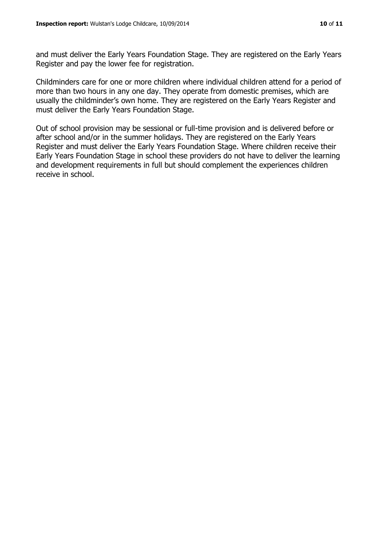and must deliver the Early Years Foundation Stage. They are registered on the Early Years Register and pay the lower fee for registration.

Childminders care for one or more children where individual children attend for a period of more than two hours in any one day. They operate from domestic premises, which are usually the childminder's own home. They are registered on the Early Years Register and must deliver the Early Years Foundation Stage.

Out of school provision may be sessional or full-time provision and is delivered before or after school and/or in the summer holidays. They are registered on the Early Years Register and must deliver the Early Years Foundation Stage. Where children receive their Early Years Foundation Stage in school these providers do not have to deliver the learning and development requirements in full but should complement the experiences children receive in school.